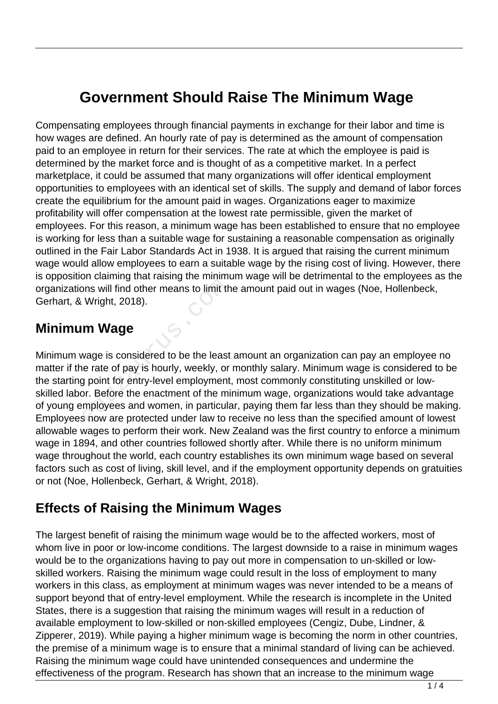# **Government Should Raise The Minimum Wage**

Compensating employees through financial payments in exchange for their labor and time is how wages are defined. An hourly rate of pay is determined as the amount of compensation paid to an employee in return for their services. The rate at which the employee is paid is determined by the market force and is thought of as a competitive market. In a perfect marketplace, it could be assumed that many organizations will offer identical employment opportunities to employees with an identical set of skills. The supply and demand of labor forces create the equilibrium for the amount paid in wages. Organizations eager to maximize profitability will offer compensation at the lowest rate permissible, given the market of employees. For this reason, a minimum wage has been established to ensure that no employee is working for less than a suitable wage for sustaining a reasonable compensation as originally outlined in the Fair Labor Standards Act in 1938. It is argued that raising the current minimum wage would allow employees to earn a suitable wage by the rising cost of living. However, there is opposition claiming that raising the minimum wage will be detrimental to the employees as the organizations will find other means to limit the amount paid out in wages (Noe, Hollenbeck, Gerhart, & Wright, 2018).

### **Minimum Wage**

Minimum wage is considered to be the least amount an organization can pay an employee no matter if the rate of pay is hourly, weekly, or monthly salary. Minimum wage is considered to be the starting point for entry-level employment, most commonly constituting unskilled or lowskilled labor. Before the enactment of the minimum wage, organizations would take advantage of young employees and women, in particular, paying them far less than they should be making. Employees now are protected under law to receive no less than the specified amount of lowest allowable wages to perform their work. New Zealand was the first country to enforce a minimum wage in 1894, and other countries followed shortly after. While there is no uniform minimum wage throughout the world, each country establishes its own minimum wage based on several factors such as cost of living, skill level, and if the employment opportunity depends on gratuities or not (Noe, Hollenbeck, Gerhart, & Wright, 2018). ons will find other means to limit th<br>Wright, 2018).<br> **m Wage**<br>
wage is considered to be the least<br>
e rate of pay is hourly, weekly, or<br>
g point for entry-level employment<br>
or. Before the enactment of the min<br>
mployees and

### **Effects of Raising the Minimum Wages**

The largest benefit of raising the minimum wage would be to the affected workers, most of whom live in poor or low-income conditions. The largest downside to a raise in minimum wages would be to the organizations having to pay out more in compensation to un-skilled or lowskilled workers. Raising the minimum wage could result in the loss of employment to many workers in this class, as employment at minimum wages was never intended to be a means of support beyond that of entry-level employment. While the research is incomplete in the United States, there is a suggestion that raising the minimum wages will result in a reduction of available employment to low-skilled or non-skilled employees (Cengiz, Dube, Lindner, & Zipperer, 2019). While paying a higher minimum wage is becoming the norm in other countries, the premise of a minimum wage is to ensure that a minimal standard of living can be achieved. Raising the minimum wage could have unintended consequences and undermine the effectiveness of the program. Research has shown that an increase to the minimum wage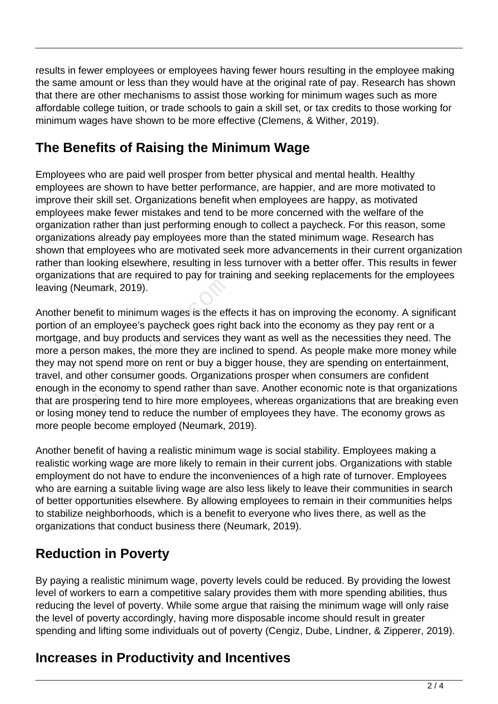results in fewer employees or employees having fewer hours resulting in the employee making the same amount or less than they would have at the original rate of pay. Research has shown that there are other mechanisms to assist those working for minimum wages such as more affordable college tuition, or trade schools to gain a skill set, or tax credits to those working for minimum wages have shown to be more effective (Clemens, & Wither, 2019).

## **The Benefits of Raising the Minimum Wage**

Employees who are paid well prosper from better physical and mental health. Healthy employees are shown to have better performance, are happier, and are more motivated to improve their skill set. Organizations benefit when employees are happy, as motivated employees make fewer mistakes and tend to be more concerned with the welfare of the organization rather than just performing enough to collect a paycheck. For this reason, some organizations already pay employees more than the stated minimum wage. Research has shown that employees who are motivated seek more advancements in their current organization rather than looking elsewhere, resulting in less turnover with a better offer. This results in fewer organizations that are required to pay for training and seeking replacements for the employees leaving (Neumark, 2019).

Another benefit to minimum wages is the effects it has on improving the economy. A significant portion of an employee's paycheck goes right back into the economy as they pay rent or a mortgage, and buy products and services they want as well as the necessities they need. The more a person makes, the more they are inclined to spend. As people make more money while they may not spend more on rent or buy a bigger house, they are spending on entertainment, travel, and other consumer goods. Organizations prosper when consumers are confident enough in the economy to spend rather than save. Another economic note is that organizations that are prospering tend to hire more employees, whereas organizations that are breaking even or losing money tend to reduce the number of employees they have. The economy grows as more people become employed (Neumark, 2019). eumark, 2019).<br>
Penefit to minimum wages is the eff<br>
an employee's paycheck goes right<br>
and buy products and services th<br>
rson makes, the more they are incorded<br>
other consumer goods. Organiza<br>
the economy to spend rather

Another benefit of having a realistic minimum wage is social stability. Employees making a realistic working wage are more likely to remain in their current jobs. Organizations with stable employment do not have to endure the inconveniences of a high rate of turnover. Employees who are earning a suitable living wage are also less likely to leave their communities in search of better opportunities elsewhere. By allowing employees to remain in their communities helps to stabilize neighborhoods, which is a benefit to everyone who lives there, as well as the organizations that conduct business there (Neumark, 2019).

# **Reduction in Poverty**

By paying a realistic minimum wage, poverty levels could be reduced. By providing the lowest level of workers to earn a competitive salary provides them with more spending abilities, thus reducing the level of poverty. While some argue that raising the minimum wage will only raise the level of poverty accordingly, having more disposable income should result in greater spending and lifting some individuals out of poverty (Cengiz, Dube, Lindner, & Zipperer, 2019).

## **Increases in Productivity and Incentives**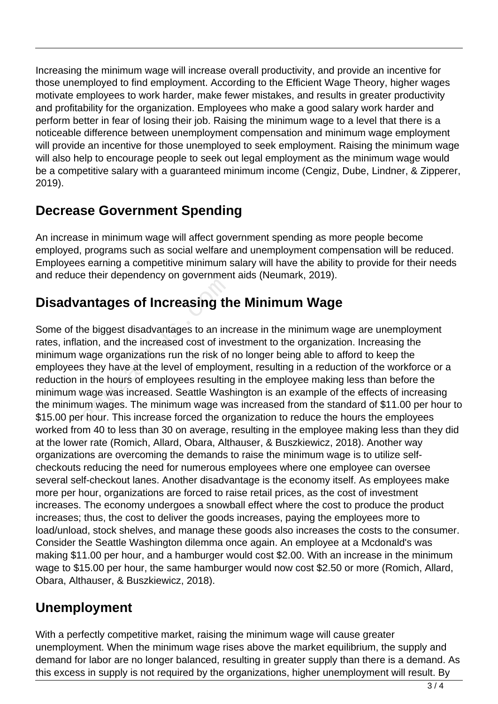Increasing the minimum wage will increase overall productivity, and provide an incentive for those unemployed to find employment. According to the Efficient Wage Theory, higher wages motivate employees to work harder, make fewer mistakes, and results in greater productivity and profitability for the organization. Employees who make a good salary work harder and perform better in fear of losing their job. Raising the minimum wage to a level that there is a noticeable difference between unemployment compensation and minimum wage employment will provide an incentive for those unemployed to seek employment. Raising the minimum wage will also help to encourage people to seek out legal employment as the minimum wage would be a competitive salary with a guaranteed minimum income (Cengiz, Dube, Lindner, & Zipperer, 2019).

### **Decrease Government Spending**

An increase in minimum wage will affect government spending as more people become employed, programs such as social welfare and unemployment compensation will be reduced. Employees earning a competitive minimum salary will have the ability to provide for their needs and reduce their dependency on government aids (Neumark, 2019).

## **Disadvantages of Increasing the Minimum Wage**

Some of the biggest disadvantages to an increase in the minimum wage are unemployment rates, inflation, and the increased cost of investment to the organization. Increasing the minimum wage organizations run the risk of no longer being able to afford to keep the employees they have at the level of employment, resulting in a reduction of the workforce or a reduction in the hours of employees resulting in the employee making less than before the minimum wage was increased. Seattle Washington is an example of the effects of increasing the minimum wages. The minimum wage was increased from the standard of \$11.00 per hour to \$15.00 per hour. This increase forced the organization to reduce the hours the employees worked from 40 to less than 30 on average, resulting in the employee making less than they did at the lower rate (Romich, Allard, Obara, Althauser, & Buszkiewicz, 2018). Another way organizations are overcoming the demands to raise the minimum wage is to utilize selfcheckouts reducing the need for numerous employees where one employee can oversee several self-checkout lanes. Another disadvantage is the economy itself. As employees make more per hour, organizations are forced to raise retail prices, as the cost of investment increases. The economy undergoes a snowball effect where the cost to produce the product increases; thus, the cost to deliver the goods increases, paying the employees more to load/unload, stock shelves, and manage these goods also increases the costs to the consumer. Consider the Seattle Washington dilemma once again. An employee at a Mcdonald's was making \$11.00 per hour, and a hamburger would cost \$2.00. With an increase in the minimum wage to \$15.00 per hour, the same hamburger would now cost \$2.50 or more (Romich, Allard, Obara, Althauser, & Buszkiewicz, 2018). **antages of Increasing th**<br>tion, and the increased cost of inv<br>wage organizations run the risk of<br>s they have at the level of employr<br>in the hours of employees resulting<br>wage was increased. Seattle Wasl<br>um wages. The minim

### **Unemployment**

With a perfectly competitive market, raising the minimum wage will cause greater unemployment. When the minimum wage rises above the market equilibrium, the supply and demand for labor are no longer balanced, resulting in greater supply than there is a demand. As this excess in supply is not required by the organizations, higher unemployment will result. By